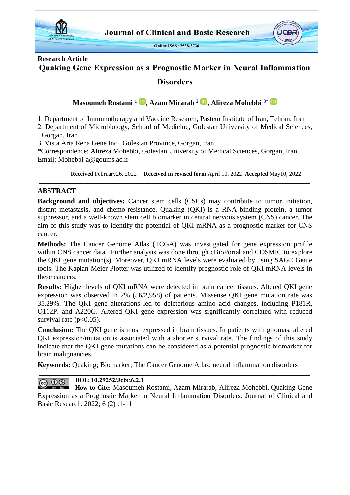

# **Research Article Quaking Gene Expression as a Prognostic Marker in Neural Inflammation**

## **Disorders**

**Masoumeh Rostami [1](#page-0-0) , Azam Mirarab [2](#page-0-1) , Alireza Mohebbi [3\\*](#page-0-2)**

<span id="page-0-0"></span>1. Department of Immunotherapy and Vaccine Research, Pasteur Institute of Iran, Tehran, Iran

<span id="page-0-1"></span>2. Department of Microbiology, School of Medicine, Golestan University of Medical Sciences, Gorgan, Iran

<span id="page-0-2"></span>3. Vista Aria Rena Gene Inc., Golestan Province, Gorgan, Iran

\*Correspondence: Alireza Mohebbi, Golestan University of Medical Sciences, Gorgan, Iran Email: Mohebbi-a@goums.ac.ir

**Received** February26, 2022 **Received in revised form** April 10, 2022 **Accepted** May10, 2022

### **ABSTRACT**

**Background and objectives:** Cancer stem cells (CSCs) may contribute to tumor initiation, distant metastasis, and chemo-resistance. Quaking (QKI) is a RNA binding protein, a tumor suppressor, and a well-known stem cell biomarker in central nervous system (CNS) cancer. The aim of this study was to identify the potential of QKI mRNA as a prognostic marker for CNS cancer.

**\_\_\_\_\_\_\_\_\_\_\_\_\_\_\_\_\_\_\_\_\_\_\_\_\_\_\_\_\_\_\_\_\_\_\_\_\_\_\_\_\_\_\_\_\_\_\_\_\_\_\_\_\_\_\_\_\_\_\_\_\_\_\_\_\_\_\_\_\_\_\_\_\_\_\_\_\_**

**Methods:** The Cancer Genome Atlas (TCGA) was investigated for gene expression profile within CNS cancer data. Further analysis was done through cBioPortal and COSMIC to explore the QKI gene mutation(s). Moreover, QKI mRNA levels were evaluated by using SAGE Genie tools. The Kaplan-Meier Plotter was utilized to identify prognostic role of QKI mRNA levels in these cancers.

**Results:** Higher levels of QKI mRNA were detected in brain cancer tissues. Altered QKI gene expression was observed in 2% (56/2,958) of patients. Missense QKI gene mutation rate was 35.29%. The QKI gene alterations led to deleterious amino acid changes, including P181R, Q112P, and A220G. Altered QKI gene expression was significantly correlated with reduced survival rate  $(p<0.05)$ .

**Conclusion:** The QKI gene is most expressed in brain tissues. In patients with gliomas, altered QKI expression/mutation is associated with a shorter survival rate. The findings of this study indicate that the QKI gene mutations can be considered as a potential prognostic biomarker for brain malignancies.

**Keywords:** Quaking; Biomarker; The Cancer Genome Atlas; neural inflammation disorders **\_\_\_\_\_\_\_\_\_\_\_\_\_\_\_\_\_\_\_\_\_\_\_\_\_\_\_\_\_\_\_\_\_\_\_\_\_\_\_\_\_\_\_\_\_\_\_\_\_\_\_\_\_\_\_\_\_\_\_\_\_\_\_\_\_\_\_\_\_\_\_\_\_\_\_\_\_**

#### **DOI: 10.29252/Jcbr.6.2.1**  $0$  $\odot$

**How to Cite:** Masoumeh Rostami, Azam Mirarab, Alireza Mohebbi. Quaking Gene Expression as a Prognostic Marker in Neural Inflammation Disorders. Journal of Clinical and Basic Research. 2022; 6 (2) :1-11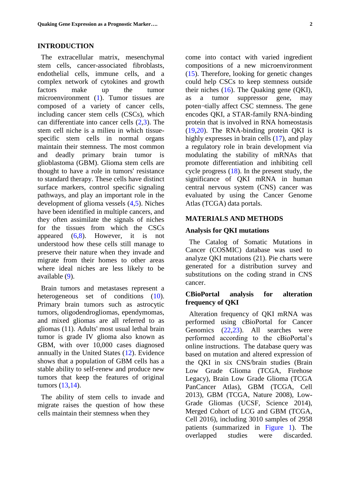#### **INTRODUCTION**

 The extracellular matrix, mesenchymal stem cells, cancer-associated fibroblasts, endothelial cells, immune cells, and a complex network of cytokines and growth factors make up the tumor microenvironment [\(1\)](#page-7-0). Tumor tissues are composed of a variety of cancer cells, including cancer stem cells (CSCs), which can differentiate into cancer cells [\(2](#page-7-1)[,3\)](#page-7-2). The stem cell niche is a milieu in which tissuespecific stem cells in normal organs maintain their stemness. The most common and deadly primary brain tumor is glioblastoma (GBM). Glioma stem cells are thought to have a role in tumors' resistance to standard therapy. These cells have distinct surface markers, control specific signaling pathways, and play an important role in the development of glioma vessels [\(4,](#page-7-3)[5\)](#page-7-4). Niches have been identified in multiple cancers, and they often assimilate the signals of niches for the tissues from which the CSCs appeared [\(6,](#page-8-0)[8\)](#page-8-1). However, it is not understood how these cells still manage to preserve their nature when they invade and migrate from their homes to other areas where ideal niches are less likely to be available [\(9\)](#page-8-2).

 Brain tumors and metastases represent a heterogeneous set of conditions [\(10\)](#page-8-3). Primary brain tumors such as astrocytic tumors, oligodendrogliomas, ependymomas, and mixed gliomas are all referred to as gliomas (11). Adults' most usual lethal brain tumor is grade IV glioma also known as GBM, with over 10,000 cases diagnosed annually in the United States [\(12\)](#page-8-4). Evidence shows that a population of GBM cells has a stable ability to self-renew and produce new tumors that keep the features of original tumors [\(13](#page-8-5)[,14\)](#page-8-6).

 The ability of stem cells to invade and migrate raises the question of how these cells maintain their stemness when they

come into contact with varied ingredient compositions of a new microenvironment [\(15\)](#page-8-7). Therefore, looking for genetic changes could help CSCs to keep stemness outside their niches [\(16\)](#page-8-8). The Quaking gene (QKI), as a tumor suppressor gene, may poten¬tially affect CSC stemness. The gene encodes QKI, a STAR-family RNA-binding protein that is involved in RNA homeostasis [\(19](#page-9-0)[,20\)](#page-9-1). The RNA-binding protein QKI is highly expresses in brain cells [\(17\)](#page-8-9), and play a regulatory role in brain development via modulating the stability of mRNAs that promote differentiation and inhibiting cell cycle progress  $(18)$ . In the present study, the significance of QKI mRNA in human central nervous system (CNS) cancer was evaluated by using the Cancer Genome Atlas (TCGA) data portals.

#### **MATERIALS AND METHODS**

#### **Analysis for QKI mutations**

 The Catalog of Somatic Mutations in Cancer (COSMIC) database was used to analyze QKI mutations (21). Pie charts were generated for a distribution survey and substitutions on the coding strand in CNS cancer.

### **CBioPortal analysis for alteration frequency of QKI**

 Alteration frequency of QKI mRNA was performed using cBioPortal for Cancer Genomics [\(22,](#page-9-3)[23\)](#page-9-4). All searches were performed according to the cBioPortal's online instructions. The database query was based on mutation and altered expression of the QKI in six CNS/brain studies (Brain Low Grade Glioma (TCGA, Firehose Legacy), Brain Low Grade Glioma (TCGA PanCancer Atlas), GBM (TCGA, Cell 2013), GBM (TCGA, Nature 2008), Low-Grade Gliomas (UCSF, Science 2014), Merged Cohort of LCG and GBM (TCGA, Cell 2016), including 3010 samples of 2958 patients (summarized in [Figure 1\)](#page-2-0). The overlapped studies were discarded.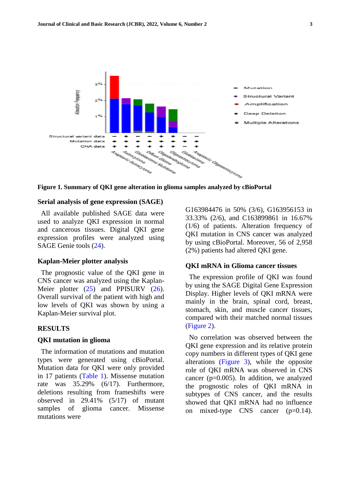

<span id="page-2-0"></span>**Figure 1. Summary of QKI gene alteration in glioma samples analyzed by cBioPortal**

#### **Serial analysis of gene expression (SAGE)**

 All available published SAGE data were used to analyze QKI expression in normal and cancerous tissues. Digital QKI gene expression profiles were analyzed using SAGE Genie tools [\(24\)](#page-9-5).

#### **Kaplan-Meier plotter analysis**

 The prognostic value of the QKI gene in CNS cancer was analyzed using the Kaplan-Meier plotter [\(25\)](#page-9-6) and PPISURV [\(26\)](#page-9-7). Overall survival of the patient with high and low levels of QKI was shown by using a Kaplan-Meier survival plot.

#### **RESULTS**

#### **QKI mutation in glioma**

 The information of mutations and mutation types were generated using cBioPortal. Mutation data for QKI were only provided in 17 patients [\(Table 1\)](#page-3-0). Missense mutation rate was 35.29% (6/17). Furthermore, deletions resulting from frameshifts were observed in 29.41% (5/17) of mutant samples of glioma cancer. Missense mutations were

G163984476 in 50% (3/6), G163956153 in 33.33% (2/6), and C163899861 in 16.67% (1/6) of patients. Alteration frequency of QKI mutation in CNS cancer was analyzed by using cBioPortal. Moreover, 56 of 2,958 (2%) patients had altered QKI gene.

#### **QKI mRNA in Glioma cancer tissues**

 The expression profile of QKI was found by using the SAGE Digital Gene Expression Display. Higher levels of QKI mRNA were mainly in the brain, spinal cord, breast, stomach, skin, and muscle cancer tissues, compared with their matched normal tissues [\(Figure 2\)](#page-4-0).

 No correlation was observed between the QKI gene expression and its relative protein copy numbers in different types of QKI gene alterations [\(Figure 3\)](#page-4-1), while the opposite role of QKI mRNA was observed in CNS cancer ( $p=0.005$ ). In addition, we analyzed the prognostic roles of QKI mRNA in subtypes of CNS cancer, and the results showed that QKI mRNA had no influence on mixed-type CNS cancer (p=0.14).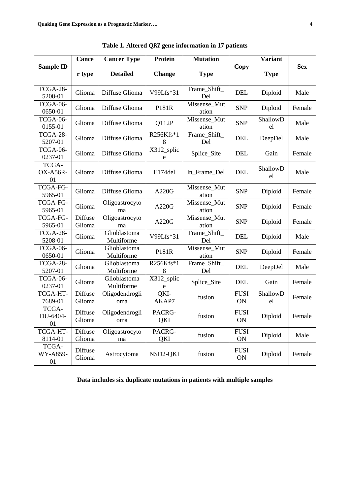| <b>Sample ID</b>        | <b>Cance</b>             | <b>Cancer Type</b>         | Protein            | <b>Mutation</b>       | Copy              | <b>Variant</b> |            |
|-------------------------|--------------------------|----------------------------|--------------------|-----------------------|-------------------|----------------|------------|
|                         | r type                   | <b>Detailed</b>            | <b>Change</b>      | <b>Type</b>           |                   | <b>Type</b>    | <b>Sex</b> |
| TCGA-28-<br>5208-01     | Glioma                   | Diffuse Glioma             | V99Lfs*31          | Frame_Shift_<br>Del   | <b>DEL</b>        | Diploid        | Male       |
| TCGA-06-<br>0650-01     | Glioma                   | Diffuse Glioma             | P181R              | Missense_Mut<br>ation | <b>SNP</b>        | Diploid        | Female     |
| TCGA-06-<br>0155-01     | Glioma                   | Diffuse Glioma             | Q112P              | Missense_Mut<br>ation | <b>SNP</b>        | ShallowD<br>el | Male       |
| TCGA-28-<br>5207-01     | Glioma                   | Diffuse Glioma             | R256Kfs*1<br>8     | Frame_Shift_<br>Del   | <b>DEL</b>        | DeepDel        | Male       |
| TCGA-06-<br>0237-01     | Glioma                   | Diffuse Glioma             | X312_splic<br>e    | Splice_Site           | <b>DEL</b>        | Gain           | Female     |
| TCGA-<br>OX-A56R-<br>01 | Glioma                   | Diffuse Glioma             | E174del            | In_Frame_Del          | <b>DEL</b>        | ShallowD<br>el | Male       |
| TCGA-FG-<br>5965-01     | Glioma                   | Diffuse Glioma             | A220G              | Missense Mut<br>ation | <b>SNP</b>        | Diploid        | Female     |
| TCGA-FG-<br>5965-01     | Glioma                   | Oligoastrocyto<br>ma       | A220G              | Missense_Mut<br>ation | <b>SNP</b>        | Diploid        | Female     |
| TCGA-FG-<br>5965-01     | Diffuse<br>Glioma        | Oligoastrocyto<br>ma       | A220G              | Missense_Mut<br>ation | <b>SNP</b>        | Diploid        | Female     |
| TCGA-28-<br>5208-01     | Glioma                   | Glioblastoma<br>Multiforme | V99Lfs*31          | Frame_Shift_<br>Del   | <b>DEL</b>        | Diploid        | Male       |
| TCGA-06-<br>0650-01     | Glioma                   | Glioblastoma<br>Multiforme | P181R              | Missense_Mut<br>ation | <b>SNP</b>        | Diploid        | Female     |
| TCGA-28-<br>5207-01     | Glioma                   | Glioblastoma<br>Multiforme | R256Kfs*1<br>8     | Frame_Shift_<br>Del   | <b>DEL</b>        | DeepDel        | Male       |
| TCGA-06-<br>0237-01     | Glioma                   | Glioblastoma<br>Multiforme | $X312$ _splic<br>e | Splice_Site           | <b>DEL</b>        | Gain           | Female     |
| TCGA-HT-<br>7689-01     | <b>Diffuse</b><br>Glioma | Oligodendrogli<br>oma      | QKI<br>AKAP7       | fusion                | <b>FUSI</b><br>ON | ShallowD<br>el | Female     |
| TCGA-<br>DU-6404-<br>01 | Diffuse<br>Glioma        | Oligodendrogli<br>oma      | PACRG-<br>QKI      | fusion                | <b>FUSI</b><br>ON | Diploid        | Female     |
| TCGA-HT-<br>8114-01     | Diffuse<br>Glioma        | Oligoastrocyto<br>ma       | PACRG-<br>QKI      | fusion                | <b>FUSI</b><br>ON | Diploid        | Male       |
| TCGA-<br>WY-A859-<br>01 | Diffuse<br>Glioma        | Astrocytoma                | NSD2-QKI           | fusion                | <b>FUSI</b><br>ON | Diploid        | Female     |

<span id="page-3-0"></span>**Table 1. Altered** *QKI* **gene information in 17 patients**

**Data includes six duplicate mutations in patients with multiple samples**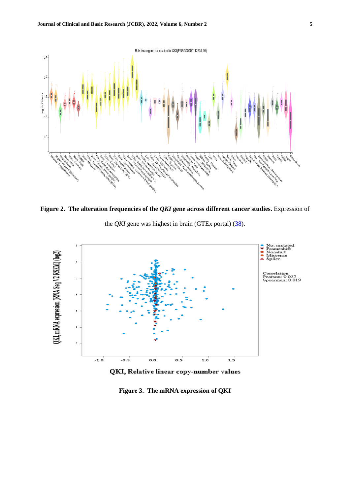

<span id="page-4-0"></span>**Figure 2. The alteration frequencies of the** *QKI* **gene across different cancer studies. Expression of** 

the *QKI* gene was highest in brain (GTEx portal) [\(38\)](#page-10-0).



QKI, Relative linear copy-number values

<span id="page-4-1"></span>**Figure 3. The mRNA expression of QKI**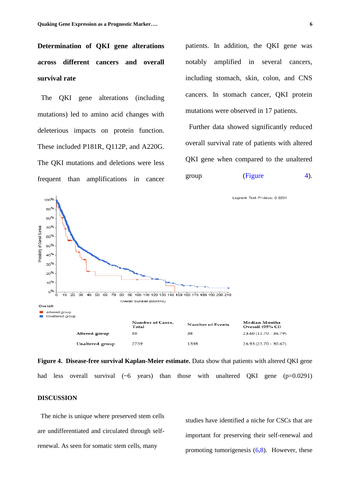**Determination of QKI gene alterations across different cancers and overall survival rate**

 The QKI gene alterations (including mutations) led to amino acid changes with deleterious impacts on protein function. These included P181R, Q112P, and A220G. The QKI mutations and deletions were less frequent than amplifications in cancer patients. In addition, the QKI gene was notably amplified in several cancers, including stomach, skin, colon, and CNS cancers. In stomach cancer, QKI protein mutations were observed in 17 patients.

 Further data showed significantly reduced overall survival rate of patients with altered QKI gene when compared to the unaltered group  $(Figure \t 4)$ .



<span id="page-5-0"></span>**Figure 4. Disease-free survival Kaplan-Meier estimate.** Data show that patients with altered QKI gene had less overall survival  $({\sim}6$  years) than those with unaltered QKI gene  $(p=0.0291)$ 

#### **DISCUSSION**

 The niche is unique where preserved stem cells are undifferentiated and circulated through selfrenewal. As seen for somatic stem cells, many

studies have identified a niche for CSCs that are important for preserving their self-renewal and promoting tumorigenesis  $(6,8)$  $(6,8)$ . However, these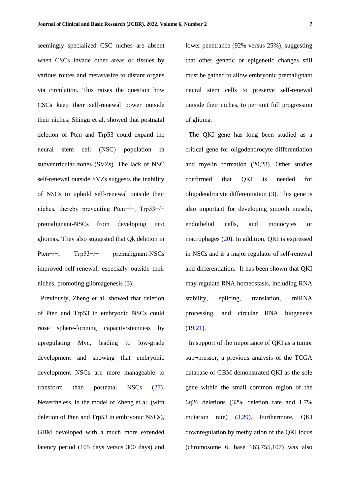seemingly specialized CSC niches are absent when CSCs invade other areas or tissues by various routes and metastasize to distant organs via circulation. This raises the question how CSCs keep their self-renewal power outside their niches. Shingu et al. showed that postnatal deletion of Pten and Trp53 could expand the neural stem cell (NSC) population in subventricular zones (SVZs). The lack of NSC self-renewal outside SVZs suggests the inability of NSCs to uphold self-renewal outside their niches, thereby preventing Pten−/−; Trp53−/− premalignant-NSCs from developing into gliomas. They also suggested that Qk deletion in Pten<sup>--/-</sup>; Trp53<sup>--/-</sup> premalignant-NSCs improved self-renewal, especially outside their niches, promoting gliomagenesis (3).

 Previously, Zheng et al. showed that deletion of Pten and Trp53 in embryonic NSCs could raise sphere-forming capacity/stemness by upregulating Myc, leading to low-grade development and showing that embryonic development NSCs are more manageable to transform than postnatal NSCs [\(27\)](#page-9-8). Nevertheless, in the model of Zheng et al. (with deletion of Pten and Trp53 in embryonic NSCs), GBM developed with a much more extended latency period (105 days versus 300 days) and lower penetrance (92% versus 25%), suggesting that other genetic or epigenetic changes still must be gained to allow embryonic premalignant neural stem cells to preserve self-renewal outside their niches, to per¬mit full progression of glioma.

 The QKI gene has long been studied as a critical gene for oligodendrocyte differentiation and myelin formation (20,28). Other studies confirmed that QKI is needed for oligodendrocyte differentiation [\(3\)](#page-7-2). This gene is also important for developing smooth muscle, endothelial cells, and monocytes or macrophages [\(20\)](#page-9-1). In addition, QKI is expressed in NSCs and is a major regulator of self-renewal and differentiation. It has been shown that QKI may regulate RNA homeostasis, including RNA stability, splicing, translation, miRNA processing, and circular RNA biogenesis  $(19,21)$  $(19,21)$ .

 In support of the importance of QKI as a tumor sup¬pressor, a previous analysis of the TCGA database of GBM demonstrated QKI as the sole gene within the small common region of the 6q26 deletions (32% deletion rate and 1.7% mutation rate) [\(3](#page-7-2)[,29\)](#page-9-10). Furthermore, QKI downregulation by methylation of the QKI locus (chromosome 6, base 163,755,107) was also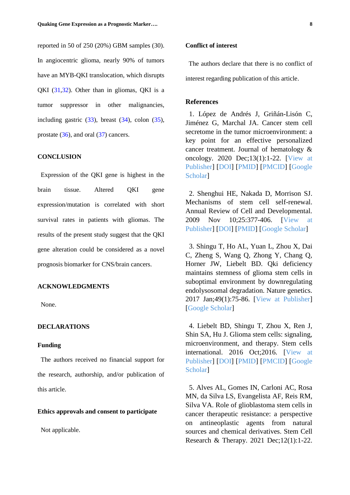reported in 50 of 250 (20%) GBM samples (30). In angiocentric glioma, nearly 90% of tumors have an MYB-QKI translocation, which disrupts QKI [\(31](#page-10-1)[,32\)](#page-10-2). Other than in gliomas, QKI is a tumor suppressor in other malignancies, including gastric  $(33)$ , breast  $(34)$ , colon  $(35)$ , prostate  $(36)$ , and oral  $(37)$  cancers.

#### **CONCLUSION**

 Expression of the QKI gene is highest in the brain tissue. Altered QKI gene expression/mutation is correlated with short survival rates in patients with gliomas. The results of the present study suggest that the QKI gene alteration could be considered as a novel prognosis biomarker for CNS/brain cancers.

#### **ACKNOWLEDGMENTS**

None.

#### **DECLARATIONS**

#### **Funding**

 The authors received no financial support for the research, authorship, and/or publication of this article.

#### **Ethics approvals and consent to participate**

Not applicable.

#### **Conflict of interest**

 The authors declare that there is no conflict of interest regarding publication of this article.

#### **References**

<span id="page-7-0"></span> 1. López de Andrés J, Griñán-Lisón C, Jiménez G, Marchal JA. Cancer stem cell secretome in the tumor microenvironment: a key point for an effective personalized cancer treatment. Journal of hematology & oncology. 2020 Dec;13(1):1-22. [\[View](https://jhoonline.biomedcentral.com/articles/10.1186/s13045-020-00966-3) at [Publisher\]](https://jhoonline.biomedcentral.com/articles/10.1186/s13045-020-00966-3) [\[DOI\]](https://doi.org/10.1186/s13045-020-00966-3) [\[PMID\]](https://www.ncbi.nlm.nih.gov/pubmed/33059744) [\[PMCID\]](http://www.ncbi.nlm.nih.gov/pmc/articles/PMC7559894) [\[Google](https://scholar.google.com/scholar?hl=en&as_sdt=0%2C5&q=L%C3%B3pez+de+Andr%C3%A9s+J%2C+Gri%C3%B1%C3%A1n-Lis%C3%B3n+C%2C+Jim%C3%A9nez+G%2C+Marchal+JA.+Cancer+stem+cell+secretome+in+the+tumor+microenvironment%3A+a+key+point+for+an+effective+personalized+can) [Scholar\]](https://scholar.google.com/scholar?hl=en&as_sdt=0%2C5&q=L%C3%B3pez+de+Andr%C3%A9s+J%2C+Gri%C3%B1%C3%A1n-Lis%C3%B3n+C%2C+Jim%C3%A9nez+G%2C+Marchal+JA.+Cancer+stem+cell+secretome+in+the+tumor+microenvironment%3A+a+key+point+for+an+effective+personalized+can)

<span id="page-7-1"></span> 2. Shenghui HE, Nakada D, Morrison SJ. Mechanisms of stem cell self-renewal. Annual Review of Cell and Developmental. 2009 Nov 10;25:377-406. [\[View](https://www.annualreviews.org/doi/abs/10.1146/annurev.cellbio.042308.113248) at [Publisher\]](https://www.annualreviews.org/doi/abs/10.1146/annurev.cellbio.042308.113248) [\[DOI\]](https://doi.org/10.1146/annurev.cellbio.042308.113248) [\[PMID\]](https://www.ncbi.nlm.nih.gov/pubmed/19575646) [Google [Scholar\]](https://scholar.google.com/scholar?hl=en&as_sdt=0%2C5&q=Shenghui+HE%2C+Nakada+D%2C+Morrison+SJ.+Mechanisms+of+stem+cell+self-renewal.+Annual+Review+of+Cell+and+Developmental.+2009+Nov+10%3B25%3A377-406.&btnG=)

<span id="page-7-2"></span> 3. Shingu T, Ho AL, Yuan L, Zhou X, Dai C, Zheng S, Wang Q, Zhong Y, Chang Q, Horner JW, Liebelt BD. Qki deficiency maintains stemness of glioma stem cells in suboptimal environment by downregulating endolysosomal degradation. Nature genetics. 2017 Jan;49(1):75-86. [View at [Publisher\]](https://www.nature.com/articles/ng.3711) [Google [Scholar\]](https://scholar.google.com/scholar?hl=en&as_sdt=0%2C5&q=Shingu+T%2C+Ho+A%2C+Yuan+L%2C+Zhou+X%2C+Dai+C%2C+%E2%80%A6+SZ-N%2C+et+al.+Qki+deficiency+maintains+stemness+of+glioma+stem+cells+in+suboptimal+environment+by+downregulating+endolysosomal+degradation.)

<span id="page-7-3"></span> 4. Liebelt BD, Shingu T, Zhou X, Ren J, Shin SA, Hu J. Glioma stem cells: signaling, microenvironment, and therapy. Stem cells international. 2016 Oct;2016. [\[View](https://www.hindawi.com/journals/sci/2016/7849890/) at [Publisher\]](https://www.hindawi.com/journals/sci/2016/7849890/) [\[DOI\]](https://doi.org/10.1155/2016/7849890) [\[PMID\]](https://www.ncbi.nlm.nih.gov/pubmed/26880988) [\[PMCID\]](http://www.ncbi.nlm.nih.gov/pmc/articles/PMC4736567) [\[Google](https://scholar.google.com/scholar?hl=en&as_sdt=0%2C5&q=Liebelt+BD%2C+Shingu+T%2C+Zhou+X%2C+Ren+J%2C+Shin+SA%2C+Hu+J.+Glioma+Stem+Cells%3A+Signaling%2C+Microenvironment%2C+and+Therapy.+Stem+Cells+Int+%5BInternet%5D.+2016+%5Bcited+2022+Apr+19%5D%3B2016.+Av) **Scholarl** 

<span id="page-7-4"></span> 5. Alves AL, Gomes IN, Carloni AC, Rosa MN, da Silva LS, Evangelista AF, Reis RM, Silva VA. Role of glioblastoma stem cells in cancer therapeutic resistance: a perspective on antineoplastic agents from natural sources and chemical derivatives. Stem Cell Research & Therapy. 2021 Dec;12(1):1-22.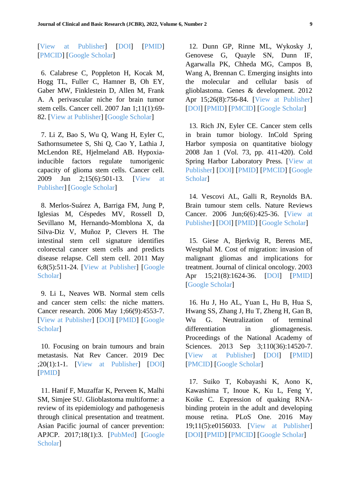[View at [Publisher\]](https://stemcellres.biomedcentral.com/articles/10.1186/s13287-021-02231-x?elqTrackId=5de2f154c75a45f48da4fef3fd46987a) [\[DOI\]](https://doi.org/10.1186/s13287-021-02231-x) [\[PMID\]](https://www.ncbi.nlm.nih.gov/pubmed/33762015) [\[PMCID\]](http://www.ncbi.nlm.nih.gov/pmc/articles/PMC7992331) [Google [Scholar\]](https://scholar.google.com/scholar?hl=en&as_sdt=0%2C5&q=Alves+AL+V.%2C+Gomes+INF%2C+Carloni+AC%2C+Rosa+MN%2C+da+Silva+LS%2C+Evangelista+AF%2C+et+al.+Role+of+glioblastoma+stem+cells+in+cancer+therapeutic+resistance%3A+a+perspective+on+antineoplastic+agents)

<span id="page-8-0"></span> 6. Calabrese C, Poppleton H, Kocak M, Hogg TL, Fuller C, Hamner B, Oh EY, Gaber MW, Finklestein D, Allen M, Frank A. A perivascular niche for brain tumor stem cells. Cancer cell. 2007 Jan 1;11(1):69- 82. [View at [Publisher\]](https://www.sciencedirect.com/science/article/pii/S1535610806003692) [Google [Scholar\]](https://scholar.google.com/scholar?hl=en&as_sdt=0%2C5&q=Calabrese+C%2C+Poppleton+H%2C+Kocak+M%2C+Hogg+T%2C+cell+CF-C%2C+2007+undefined.+A+perivascular+niche+for+brain+tumor+stem+cells.+Elsevier+%5BInternet%5D.+%5Bcited+2022+Apr+25%5D%3B+Available+from%3A+)

 7. Li Z, Bao S, Wu Q, Wang H, Eyler C, Sathornsumetee S, Shi Q, Cao Y, Lathia J, McLendon RE, Hjelmeland AB. Hypoxiainducible factors regulate tumorigenic capacity of glioma stem cells. Cancer cell. 2009 Jun 2;15(6):501-13. [\[View](https://www.sciencedirect.com/science/article/pii/S1535610809000877) at [Publisher\]](https://www.sciencedirect.com/science/article/pii/S1535610809000877) [Google [Scholar\]](https://scholar.google.com/scholar?hl=en&as_sdt=0%2C5&q=Li+Z%2C+Bao+S%2C+Wu+Q%2C+Wang+H%2C+Eyler+C%2C+cell+SS-C%2C+et+al.+Hypoxia-inducible+factors+regulate+tumorigenic+capacity+of+glioma+stem+cells.+Elsevier+%5BInternet%5D.+%5Bcited+2022+Apr+25%5D%3B+Ava)

<span id="page-8-1"></span> 8. Merlos-Suárez A, Barriga FM, Jung P, Iglesias M, Céspedes MV, Rossell D, Sevillano M, Hernando-Momblona X, da Silva-Diz V, Muñoz P, Clevers H. The intestinal stem cell signature identifies colorectal cancer stem cells and predicts disease relapse. Cell stem cell. 2011 May 6;8(5):511-24. [View at [Publisher\]](https://www.sciencedirect.com/science/article/pii/S193459091100110X) [\[Google](https://scholar.google.com/scholar?hl=en&as_sdt=0%2C5&q=Merlos-Su%C3%A1rez+A%2C+Barriga+F%2C+Jung+P%2C+cell+MI-C+stem%2C+2011+undefined.+The+intestinal+stem+cell+signature+identifies+colorectal+cancer+stem+cells+and+predicts+disease+relapse.+Elsevier+%5BI) [Scholar\]](https://scholar.google.com/scholar?hl=en&as_sdt=0%2C5&q=Merlos-Su%C3%A1rez+A%2C+Barriga+F%2C+Jung+P%2C+cell+MI-C+stem%2C+2011+undefined.+The+intestinal+stem+cell+signature+identifies+colorectal+cancer+stem+cells+and+predicts+disease+relapse.+Elsevier+%5BI)

<span id="page-8-2"></span> 9. Li L, Neaves WB. Normal stem cells and cancer stem cells: the niche matters. Cancer research. 2006 May 1;66(9):4553-7. [View at [Publisher\]](https://aacrjournals.org/cancerres/article/66/9/4553/532836/Normal-Stem-Cells-and-Cancer-Stem-Cells-The-Niche) [\[DOI\]](https://doi.org/10.1158/0008-5472.CAN-05-3986) [\[PMID\]](https://www.ncbi.nlm.nih.gov/pubmed/16651403) [\[Google](https://scholar.google.com/scholar?hl=en&as_sdt=0%2C5&q=Li+L%2C+research+WN-C%2C+2006+undefined.+Normal+stem+cells+and+cancer+stem+cells%3A+the+niche+matters.+AACR+%5BInternet%5D.+2006+%5Bcited+2022+Apr+25%5D%3B66%289%29%3A4553-60.+Available+from%3A+https) [Scholar\]](https://scholar.google.com/scholar?hl=en&as_sdt=0%2C5&q=Li+L%2C+research+WN-C%2C+2006+undefined.+Normal+stem+cells+and+cancer+stem+cells%3A+the+niche+matters.+AACR+%5BInternet%5D.+2006+%5Bcited+2022+Apr+25%5D%3B66%289%29%3A4553-60.+Available+from%3A+https)

<span id="page-8-3"></span> 10. Focusing on brain tumours and brain metastasis. Nat Rev Cancer. 2019 Dec ;20(1):1-1. [View at [Publisher\]](https://www.nature.com/articles/s41568-019-0232-7) [\[DOI\]](https://doi.org/10.1038/s41568-019-0232-7) [\[PMID\]](https://www.ncbi.nlm.nih.gov/pubmed/31863025)

 11. Hanif F, Muzaffar K, Perveen K, Malhi SM, Simjee SU. Glioblastoma multiforme: a review of its epidemiology and pathogenesis through clinical presentation and treatment. Asian Pacific journal of cancer prevention: APJCP. 2017;18(1):3. [\[PubMed\]](https://www.ncbi.nlm.nih.gov/pmc/articles/PMC5563115/) [\[Google](https://scholar.google.com/scholar?hl=en&as_sdt=0%2C5&q=Hanif+F%2C+Muzaffar+K%2C+Perveen+K%2C+Malhi+SM%2C+Simjee+SU.+Glioblastoma+Multiforme%3A+A+Review+of+its+Epidemiology+and+Pathogenesis+through+Clinical+Presentation+and+Treatment.+Asian+Pac+J+Cancer+P) Scholar<sup>1</sup>

<span id="page-8-4"></span> 12. Dunn GP, Rinne ML, Wykosky J, Genovese G, Quayle SN, Dunn IF, Agarwalla PK, Chheda MG, Campos B, Wang A, Brennan C. Emerging insights into the molecular and cellular basis of glioblastoma. Genes & development. 2012 Apr 15;26(8):756-84. [View at [Publisher\]](http://genesdev.cshlp.org/content/26/8/756.short) [\[DOI\]](https://doi.org/10.1101/gad.187922.112) [\[PMID\]](https://www.ncbi.nlm.nih.gov/pubmed/22508724) [\[PMCID\]](http://www.ncbi.nlm.nih.gov/pmc/articles/PMC3337451) [Google [Scholar\]](https://scholar.google.com/scholar?hl=en&as_sdt=0%2C5&q=Dunn+GP%2C+Rinne+ML%2C+Wykosky+J%2C+Genovese+G%2C+Quayle+SN%2C+Dunn+IF%2C+et+al.+Emerging+insights+into+the+molecular+and+cellular+basis+of+glioblastoma.+genesdev.cshlp.org+%5BInternet%5D.+%5Bcited+2)

<span id="page-8-5"></span> 13. Rich JN, Eyler CE. Cancer stem cells in brain tumor biology. InCold Spring Harbor symposia on quantitative biology 2008 Jan 1 (Vol. 73, pp. 411-420). Cold Spring Harbor Laboratory Press. [\[View](http://symposium.cshlp.org/content/73/411.short) at [Publisher\]](http://symposium.cshlp.org/content/73/411.short) [\[DOI\]](https://doi.org/10.1101/sqb.2008.73.060) [\[PMID\]](https://www.ncbi.nlm.nih.gov/pubmed/19329578) [\[PMCID\]](http://www.ncbi.nlm.nih.gov/pmc/articles/PMC2822444) [\[Google](https://scholar.google.com/scholar?hl=en&as_sdt=0%2C5&q=Rich+J%2C+on+CE-CSH+symposia%2C+2008+undefined.+Cancer+stem+cells+in+brain+tumor+biology.+symposium.cshlp.org+%5BInternet%5D.+%5Bcited+2022+Apr+25%5D%3B+Available+from%3A+http%3A%2F%2Fsymposium.cshlp) Scholar<sup>1</sup>

<span id="page-8-6"></span> 14. Vescovi AL, Galli R, Reynolds BA. Brain tumour stem cells. Nature Reviews Cancer. 2006 Jun;6(6):425-36. [\[View](https://www.nature.com/articles/nrc1889) at [Publisher\]](https://www.nature.com/articles/nrc1889) [\[DOI\]](https://doi.org/10.1038/nrc1889) [\[PMID\]](https://www.ncbi.nlm.nih.gov/pubmed/16723989) [Google [Scholar\]](https://scholar.google.com/scholar?hl=en&as_sdt=0%2C5&q=Vescovi+AL%2C+Galli+R%2C+Reynolds+BA.+Brain+tumour+stem+cells.+Nat+Rev+Cancer+2006+66+%5BInternet%5D.+2006+Jun+%5Bcited+2022+Apr+25%5D%3B6%286%29%3A425-36.+Available+from%3A+https%3A%2F%2Fwww.nature.)

<span id="page-8-7"></span> 15. Giese A, Bjerkvig R, Berens ME, Westphal M. Cost of migration: invasion of malignant gliomas and implications for treatment. Journal of clinical oncology. 2003 Apr 15;21(8):1624-36. [\[DOI\]](https://doi.org/10.1200/JCO.2003.05.063) [\[PMID\]](https://www.ncbi.nlm.nih.gov/pubmed/12697889) [Google [Scholar\]](https://scholar.google.com/scholar?hl=en&as_sdt=0%2C5&q=Giese+A%2C+Bjerkvig+R%2C+Berens+M%2C+oncology+MW-J+of+clinical%2C+2003+undefined.+Cost+of+migration%3A+invasion+of+malignant+gliomas+and+implications+for+treatment.+uksh.de+%5BInternet%5D.+2003+%5Bci)

<span id="page-8-8"></span> 16. Hu J, Ho AL, Yuan L, Hu B, Hua S, Hwang SS, Zhang J, Hu T, Zheng H, Gan B, Wu G. Neutralization of terminal differentiation in gliomagenesis. Proceedings of the National Academy of Sciences. 2013 Sep 3;110(36):14520-7. [View at [Publisher\]](https://www.pnas.org/doi/abs/10.1073/pnas.1308610110) [\[DOI\]](https://doi.org/10.1073/pnas.1308610110) [\[PMID\]](https://www.ncbi.nlm.nih.gov/pubmed/23918370) [\[PMCID\]](http://www.ncbi.nlm.nih.gov/pmc/articles/PMC3767545) [Google [Scholar\]](https://scholar.google.com/scholar?hl=en&as_sdt=0%2C5&q=Hu+J%2C+Ho+AL%2C+Yuan+L%2C+Hu+B%2C+Hua+S%2C+Hwang+S%2C+et+al.+Neutralization+of+terminal+differentiation+in+gliomagenesis.+Natl+Acad+Sci+%5BInternet%5D.+%5Bcited+2022+Apr+25%5D%3B+Available+from%3A+h)

<span id="page-8-9"></span> 17. Suiko T, Kobayashi K, Aono K, Kawashima T, Inoue K, Ku L, Feng Y, Koike C. Expression of quaking RNAbinding protein in the adult and developing mouse retina. PLoS One. 2016 May 19;11(5):e0156033. [View at [Publisher\]](https://journals.plos.org/plosone/article?id=10.1371/journal.pone.0156033) [\[DOI\]](https://doi.org/10.1371/journal.pone.0156033) [\[PMID\]](https://www.ncbi.nlm.nih.gov/pubmed/27196066) [\[PMCID\]](http://www.ncbi.nlm.nih.gov/pmc/articles/PMC4873024) [Google [Scholar\]](https://scholar.google.com/scholar?hl=en&as_sdt=0%2C5&q=Suiko+T%2C+Kobayashi+K%2C+Aono+K%2C+Kawashima+T%2C+Inoue+K%2C+Ku+L%2C+et+al.+Expression+of+Quaking+RNA-Binding+Protein+in+the+Adult+and+Developing+Mouse+Retina.+PLoS+One+%5BInternet%5D.+2016+May+1+%255)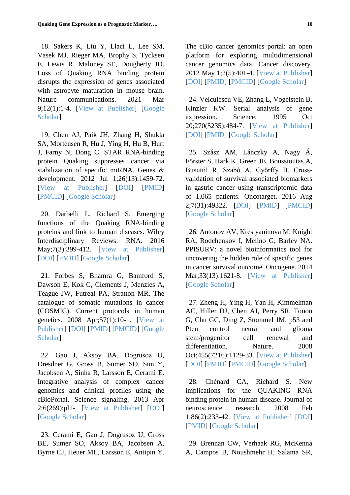<span id="page-9-2"></span> 18. Sakers K, Liu Y, Llaci L, Lee SM, Vasek MJ, Rieger MA, Brophy S, Tycksen E, Lewis R, Maloney SE, Dougherty JD. Loss of Quaking RNA binding protein disrupts the expression of genes associated with astrocyte maturation in mouse brain. Nature communications. 2021 Mar 9;12(1):1-4. [View at [Publisher\]](https://www.nature.com/articles/s41467-021-21703-5) [\[Google](https://scholar.google.com/scholar?hl=en&as_sdt=0%2C5&q=Sakers+K%2C+Liu+Y%2C+Llaci+L%2C+Lee+SM%2C+Vasek+MJ%2C+Rieger+MA%2C+et+al.+Loss+of+Quaking+RNA+binding+protein+disrupts+the+expression+of+genes+associated+with+astrocyte+maturation+in+mouse+brain.+Nat) [Scholar\]](https://scholar.google.com/scholar?hl=en&as_sdt=0%2C5&q=Sakers+K%2C+Liu+Y%2C+Llaci+L%2C+Lee+SM%2C+Vasek+MJ%2C+Rieger+MA%2C+et+al.+Loss+of+Quaking+RNA+binding+protein+disrupts+the+expression+of+genes+associated+with+astrocyte+maturation+in+mouse+brain.+Nat)

<span id="page-9-0"></span> 19. Chen AJ, Paik JH, Zhang H, Shukla SA, Mortensen R, Hu J, Ying H, Hu B, Hurt J, Farny N, Dong C. STAR RNA-binding protein Quaking suppresses cancer via stabilization of specific miRNA. Genes & development. 2012 Jul 1;26(13):1459-72. [View at [Publisher\]](http://genesdev.cshlp.org/content/26/13/1459.short) [\[DOI\]](https://doi.org/10.1101/gad.189001.112) [\[PMID\]](https://www.ncbi.nlm.nih.gov/pubmed/22751500) [\[PMCID\]](http://www.ncbi.nlm.nih.gov/pmc/articles/PMC3403014) [Google [Scholar\]](https://scholar.google.com/scholar?hl=en&as_sdt=0%2C5&q=Chen+A-J%2C+Paik+J-H%2C+Zhang+H%2C+Shukla+SA%2C+Mortensen+R%2C+Hu+J%2C+et+al.+STAR+RNA-binding+protein+Quaking+suppresses+cancer+via+stabilization+of+specific+miRNA.+genesdev.cshlp.org+%5BInternet%5D)

<span id="page-9-1"></span> 20. Darbelli L, Richard S. Emerging functions of the Quaking RNA‐binding proteins and link to human diseases. Wiley Interdisciplinary Reviews: RNA. 2016 May;7(3):399-412. [View at [Publisher\]](https://wires.onlinelibrary.wiley.com/doi/abs/10.1002/wrna.1344) [\[DOI\]](https://doi.org/10.1002/wrna.1344) [\[PMID\]](https://www.ncbi.nlm.nih.gov/pubmed/26991871) [Google [Scholar\]](https://scholar.google.com/scholar?hl=en&as_sdt=0%2C5&q=Darbelli+L%2C+Richard+S.+Emerging+functions+of+the+Quaking+RNA-binding+proteins+and+link+to+human+diseases.+Wiley+Interdiscip+Rev+RNA.+2016+May+1%3B7%283%29%3A399-412.&btnG=)

<span id="page-9-9"></span> 21. Forbes S, Bhamra G, Bamford S, Dawson E, Kok C, Clements J, Menzies A, Teague JW, Futreal PA, Stratton MR. The catalogue of somatic mutations in cancer (COSMIC). Current protocols in human genetics. 2008 Apr;57(1):10-1. [\[View](https://currentprotocols.onlinelibrary.wiley.com/doi/abs/10.1002/0471142905.hg1011s57) at [Publisher\]](https://currentprotocols.onlinelibrary.wiley.com/doi/abs/10.1002/0471142905.hg1011s57) [\[DOI\]](https://doi.org/10.1002/0471142905.hg1011s57) [\[PMID\]](https://www.ncbi.nlm.nih.gov/pubmed/18428421) [\[PMCID\]](http://www.ncbi.nlm.nih.gov/pmc/articles/PMC2705836) [\[Google](https://scholar.google.com/scholar?hl=en&as_sdt=0%2C5&q=Forbes+SA%2C+Bhamra+G%2C+Bamford+S%2C+Dawson+E%2C+Kok+C%2C+Clements+J%2C+et+al.+The+catalogue+of+somatic+mutations+in+cancer+%28COSMIC%29.+Curr+Protoc+Hum+Genet.+2008%3B%28SUPPL.+57%29.&btnG=) [Scholar\]](https://scholar.google.com/scholar?hl=en&as_sdt=0%2C5&q=Forbes+SA%2C+Bhamra+G%2C+Bamford+S%2C+Dawson+E%2C+Kok+C%2C+Clements+J%2C+et+al.+The+catalogue+of+somatic+mutations+in+cancer+%28COSMIC%29.+Curr+Protoc+Hum+Genet.+2008%3B%28SUPPL.+57%29.&btnG=)

<span id="page-9-3"></span> 22. Gao J, Aksoy BA, Dogrusoz U, Dresdner G, Gross B, Sumer SO, Sun Y, Jacobsen A, Sinha R, Larsson E, Cerami E. Integrative analysis of complex cancer genomics and clinical profiles using the cBioPortal. Science signaling. 2013 Apr 2;6(269):pl1-. [View at [Publisher\]](https://www.science.org/doi/abs/10.1126/scisignal.2004088) [\[DOI\]](https://doi.org/10.1126/scisignal.2004088) [Google [Scholar\]](https://scholar.google.com/scholar?hl=en&as_sdt=0%2C5&q=Gao+J%2C+Aksoy+BA%2C+Dogrusoz+U%2C+Dresdner+G%2C+Gross+B%2C+Sumer+SO%2C+et+al.+Integrative+analysis+of+complex+cancer+genomics+and+clinical+profiles+using+the+cBioPortal.+Sci+Signal.+2013+Apr+2%3B6%252)

<span id="page-9-4"></span> 23. Cerami E, Gao J, Dogrusoz U, Gross BE, Sumer SO, Aksoy BA, Jacobsen A, Byrne CJ, Heuer ML, Larsson E, Antipin Y.

The cBio cancer genomics portal: an open platform for exploring multidimensional cancer genomics data. Cancer discovery. 2012 May 1;2(5):401-4. [View at [Publisher\]](https://cancerdiscovery.aacrjournals.org/content/2/5/401.short) [\[DOI\]](https://doi.org/10.1158/2159-8290.CD-12-0095) [\[PMID\]](https://www.ncbi.nlm.nih.gov/pubmed/22588877) [\[PMCID\]](http://www.ncbi.nlm.nih.gov/pmc/articles/PMC3956037) [Google [Scholar\]](https://scholar.google.com/scholar?hl=en&as_sdt=0%2C5&q=Cerami+E%2C+Gao+J%2C+Dogrusoz+U%2C+Gross+BE%2C+Sumer+SO%2C+Aksoy+BA%2C+et+al.+The+cBio+Cancer+Genomics+Portal%3A+An+Open+Platform+for+Exploring+Multidimensional+Cancer+Genomics+DataThe+cBio+Cancer+Ge)

<span id="page-9-5"></span> 24. Velculescu VE, Zhang L, Vogelstein B, Kinzler KW. Serial analysis of gene expression. Science. 1995 Oct 20;270(5235):484-7. [View at [Publisher\]](https://www.science.org/doi/abs/10.1126/science.270.5235.484) [\[DOI\]](https://doi.org/10.1126/science.270.5235.484) [\[PMID\]](https://www.ncbi.nlm.nih.gov/pubmed/7570003) [Google [Scholar\]](https://scholar.google.com/scholar?hl=en&as_sdt=0%2C5&q=Velculescu+VE%2C+Zhang+L%2C+Vogelstein+B%2C+Kinzler+KW.+Serial+Analysis+of+Gene+Expression.+Science+%2880-+%29+%5BInternet%5D.+1995+Oct+20+%5Bcited+2022+Apr+25%5D%3B270%285235%29%3A484-7.+Available+f)

<span id="page-9-6"></span> 25. Szász AM, Lánczky A, Nagy Á, Förster S, Hark K, Green JE, Boussioutas A, Busuttil R, Szabó A, Győrffy B. Crossvalidation of survival associated biomarkers in gastric cancer using transcriptomic data of 1,065 patients. Oncotarget. 2016 Aug 2;7(31):49322. [\[DOI\]](https://doi.org/10.18632/oncotarget.10337) [\[PMID\]](https://www.ncbi.nlm.nih.gov/pubmed/27384994) [\[PMCID\]](http://www.ncbi.nlm.nih.gov/pmc/articles/PMC5226511) [Google [Scholar\]](https://scholar.google.com/scholar?hl=en&as_sdt=0%2C5&q=Sz%C3%A1sz+A%2C+L%C3%A1nczky+A%2C+Nagy+%C3%81%2C+F%C3%B6rster+S%2C+Oncotarget+KH-%2C+2016+undefined.+Cross-validation+of+survival+associated+biomarkers+in+gastric+cancer+using+transcriptomic+data+of+)

<span id="page-9-7"></span> 26. Antonov AV, Krestyaninova M, Knight RA, Rodchenkov I, Melino G, Barlev NA. PPISURV: a novel bioinformatics tool for uncovering the hidden role of specific genes in cancer survival outcome. Oncogene. 2014 Mar;33(13):1621-8. [View at [Publisher\]](https://www.nature.com/articles/onc2013119) [Google [Scholar\]](https://scholar.google.com/scholar?hl=en&as_sdt=0%2C5&q=Antonov+A%2C+Krestyaninova+M%2C+Oncogene+RK-%2C+2014+undefined.+PPISURV%3A+a+novel+bioinformatics+tool+for+uncovering+the+hidden+role+of+specific+genes+in+cancer+survival+outcome.+nature.com+%5BInter)

<span id="page-9-8"></span> 27. Zheng H, Ying H, Yan H, Kimmelman AC, Hiller DJ, Chen AJ, Perry SR, Tonon G, Chu GC, Ding Z, Stommel JM. p53 and Pten control neural and glioma stem/progenitor cell renewal and differentiation. Nature. 2008 Oct;455(7216):1129-33. [View at [Publisher\]](https://www.nature.com/articles/nature07443) [\[DOI\]](https://doi.org/10.1038/nature07443) [\[PMID\]](https://www.ncbi.nlm.nih.gov/pubmed/18948956) [\[PMCID\]](http://www.ncbi.nlm.nih.gov/pmc/articles/PMC4051433) [Google [Scholar\]](https://scholar.google.com/scholar?hl=en&as_sdt=0%2C5&q=Zheng+H%2C+Ying+H%2C+Yan+H%2C+Kimmelman+A%2C+Nature+DH-%2C+2008+undefined.+p53+and+Pten+control+neural+and+glioma+stem%2Fprogenitor+cell+renewal+and+differentiation.+nature.com+%5BInternet%5D.+%5Bcit)

 28. Chénard CA, Richard S. New implications for the QUAKING RNA binding protein in human disease. Journal of neuroscience research. 2008 Feb 1;86(2):233-42. [View at [Publisher\]](https://onlinelibrary.wiley.com/doi/full/10.1002/jnr.21485) [\[DOI\]](https://doi.org/10.1002/jnr.21485) [\[PMID\]](https://www.ncbi.nlm.nih.gov/pubmed/17787018) [Google [Scholar\]](https://scholar.google.com/scholar?hl=en&as_sdt=0%2C5&q=Ch%C3%A9nard+CA%2C+Richard+S.+New+implications+for+the+QUAKING+RNA+binding+protein+in+human+disease.+J+Neurosci+Res.+2008+Feb+1%3B86%282%29%3A233-42.&btnG=)

<span id="page-9-10"></span> 29. Brennan CW, Verhaak RG, McKenna A, Campos B, Noushmehr H, Salama SR,